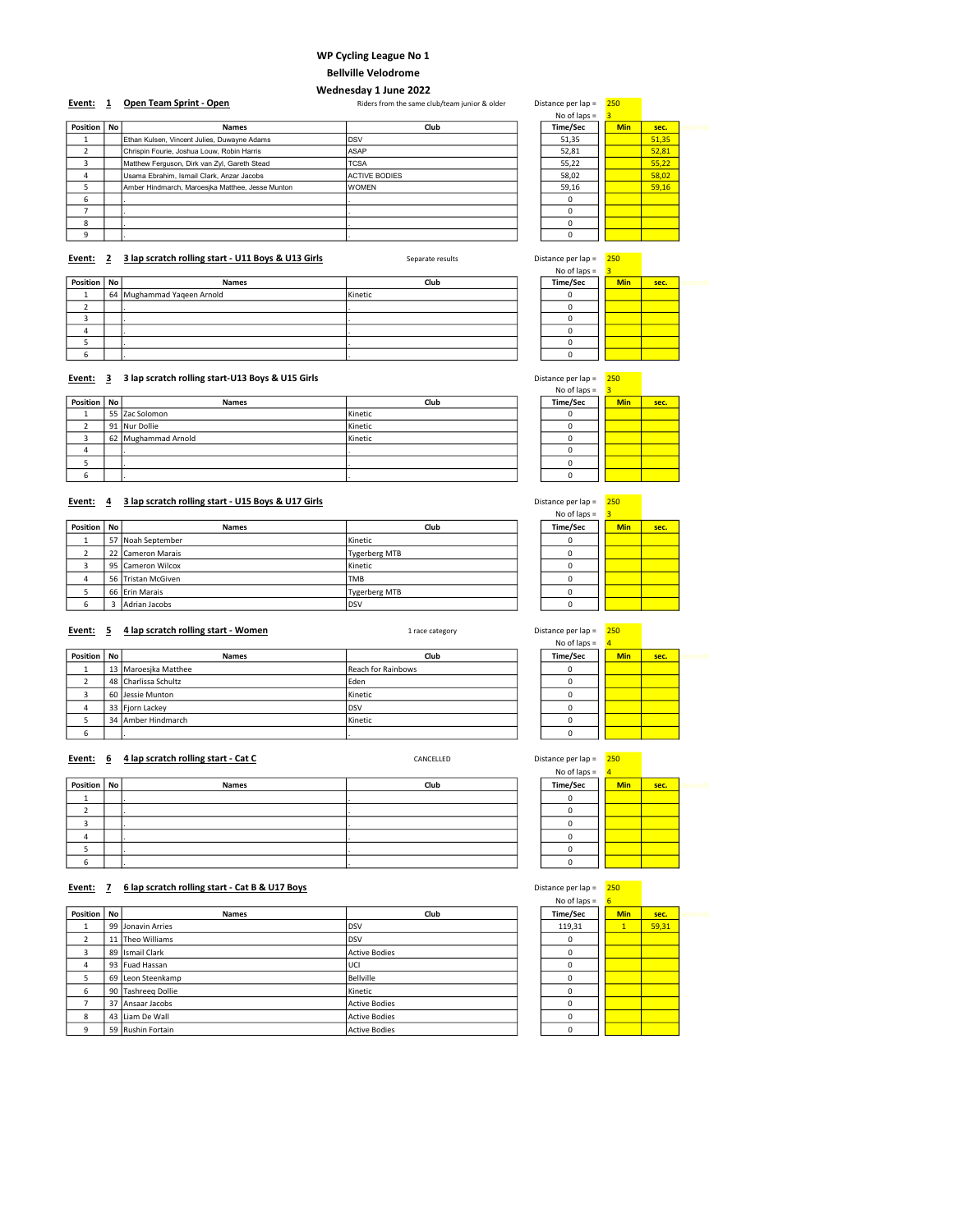### WP Cycling League No 1

# Bellville Velodrome

### Wednesday 1 June 2022

Event: 1 Open Team Sprint - Open And Communism Charles Riders from the same club/team junior & older Distance per lap = 250

|               |                                                  |                      | No of laps $=$ |            |       |        |
|---------------|--------------------------------------------------|----------------------|----------------|------------|-------|--------|
| Position   No | Names                                            | Club                 | Time/Sec       | <b>Min</b> | sec.  | econd: |
|               | Ethan Kulsen, Vincent Julies, Duwayne Adams      | <b>DSV</b>           | 51,35          |            | 51,35 |        |
|               | Chrispin Fourie, Joshua Louw, Robin Harris       | ASAP                 | 52,81          |            | 52,81 |        |
|               | Matthew Ferguson, Dirk van Zyl, Gareth Stead     | <b>TCSA</b>          | 55,22          |            | 55,22 |        |
| 4             | Usama Ebrahim, Ismail Clark, Anzar Jacobs        | <b>ACTIVE BODIES</b> | 58,02          |            | 58,02 |        |
|               | Amber Hindmarch, Maroesjka Matthee, Jesse Munton | <b>WOMEN</b>         | 59,16          |            | 59,16 |        |
| 6             |                                                  |                      |                |            |       |        |
|               |                                                  |                      |                |            |       |        |
| 8             |                                                  |                      |                |            |       |        |
| a             |                                                  |                      |                |            |       |        |

### Event: 2 3 lap scratch rolling start - U11 Boys & U13 Girls Separate results Distance per lap = 250

|               |                            |         | $1100110p3 =$ |            |      |  |
|---------------|----------------------------|---------|---------------|------------|------|--|
| Position   No | <b>Names</b>               | Club    | Time/Sec      | <b>Min</b> | sec. |  |
|               | 64 Mughammad Yaqeen Arnold | Kinetic |               |            |      |  |
|               |                            |         |               |            |      |  |
|               |                            |         |               |            |      |  |
|               |                            |         |               |            |      |  |
|               |                            |         |               |            |      |  |
| h             |                            |         |               |            |      |  |

### Event: 3 3 lap scratch rolling start-U13 Boys & U15 Girls **Distance Per lap = 250** Distance per lap = 2500 Distance per lap = 2500 Distance per lap = 2500 Distance per lap = 2500 Distance per lap = 2500 Distance per lap =

|               |                     |         | No of laps $=$ |            |      |
|---------------|---------------------|---------|----------------|------------|------|
| Position   No | Names               | Club    | Time/Sec       | <b>Min</b> | sec. |
|               | 55 Zac Solomon      | Kinetic |                |            |      |
|               | 91 Nur Dollie       | Kinetic |                |            |      |
|               | 62 Mughammad Arnold | Kinetic |                |            |      |
|               |                     |         |                |            |      |
|               |                     |         |                |            |      |
| ь             |                     |         |                |            |      |

# Event: 4 3 lap scratch rolling start - U15 Boys & U17 Girls Distance per lap = 250

| Position   No | <b>Names</b>       | Club                 | Time/Sec | <b>Min</b> | sec. |
|---------------|--------------------|----------------------|----------|------------|------|
|               | 57 Noah September  | Kinetic              |          |            |      |
|               | 22 Cameron Marais  | Tygerberg MTB        |          |            |      |
|               | 95 Cameron Wilcox  | Kinetic              |          |            |      |
| 4             | 56 Tristan McGiven | <b>TMB</b>           |          |            |      |
|               | 66 Erin Marais     | <b>Tygerberg MTB</b> |          |            |      |
|               | Adrian Jacobs      | <b>DSV</b>           |          |            |      |

### Event: 5 4 lap scratch rolling start - Women 1 race category 1 race category

|               |                      |                           | $190$ UI $1813 -$ |            |      |  |
|---------------|----------------------|---------------------------|-------------------|------------|------|--|
| Position   No | <b>Names</b>         | Club                      | Time/Sec          | <b>Min</b> | sec. |  |
|               | 13 Maroesika Matthee | <b>Reach for Rainbows</b> |                   |            |      |  |
|               | 48 Charlissa Schultz | Eden                      |                   |            |      |  |
|               | 60 Jessie Munton     | Kinetic                   |                   |            |      |  |
|               | 33 Fjorn Lackey      | <b>DSV</b>                |                   |            |      |  |
|               | 34 Amber Hindmarch   | Kinetic                   |                   |            |      |  |
| ь             |                      |                           |                   |            |      |  |
|               |                      |                           |                   |            |      |  |

| Event: 6      | 4 lap scratch rolling start - Cat C | CANCELLED | Distance per lap = | 250        |      |      |
|---------------|-------------------------------------|-----------|--------------------|------------|------|------|
|               |                                     |           | No of laps $=$     | 4          |      |      |
| Position   No | <b>Names</b>                        | Club      | Time/Sec           | <b>Min</b> | sec. | conr |
|               |                                     |           |                    |            |      |      |
|               |                                     |           |                    |            |      |      |
|               |                                     |           |                    |            |      |      |
| 4             |                                     |           |                    |            |      |      |
|               |                                     |           |                    |            |      |      |
| 6             |                                     |           |                    |            |      |      |

### Event: 7 6 lap scratch rolling start - Cat B & U17 Boys Distance per lap = 250 Distance per lap = 250

|          |           |                    |                      | No of laps $=$ |              |       |         |
|----------|-----------|--------------------|----------------------|----------------|--------------|-------|---------|
| Position | <b>No</b> | Names              | Club                 | Time/Sec       | <b>Min</b>   | sec.  | seconds |
|          |           | 99 Jonavin Arries  | DSV                  | 119,31         | $\mathbf{1}$ | 59,31 |         |
| n        |           | 11 Theo Williams   | <b>DSV</b>           | 0              |              |       |         |
| 3        |           | 89 Ismail Clark    | <b>Active Bodies</b> | $\Omega$       |              |       |         |
| 4        |           | 93 Fuad Hassan     | UCI                  | 0              |              |       |         |
| 5        |           | 69 Leon Steenkamp  | Bellville            | $\Omega$       |              |       |         |
| 6        |           | 90 Tashreeg Dollie | Kinetic              | $\Omega$       |              |       |         |
|          |           | 37 Ansaar Jacobs   | <b>Active Bodies</b> | $\Omega$       |              |       |         |
| 8        | 43        | Liam De Wall       | <b>Active Bodies</b> | $\Omega$       |              |       |         |
| q        |           | 59 Rushin Fortain  | <b>Active Bodies</b> | n              |              |       |         |

 $\frac{\text{No of laps}}{\text{Time/Sec}}$   $\frac{3}{\text{Min}}$ 

| No of laps = | 3          |      |  |
|--------------|------------|------|--|
| Time/Sec     | <b>Min</b> | sec. |  |
|              |            |      |  |
|              |            |      |  |
|              |            |      |  |
|              |            |      |  |
|              |            |      |  |
|              |            |      |  |

| istance per lap = | 250        |      |
|-------------------|------------|------|
| No of laps $=$    | 3          |      |
| Time/Sec          | <b>Min</b> | sec. |
|                   |            |      |
| Ω                 |            |      |
|                   |            |      |
| n                 |            |      |
| n                 |            |      |
|                   |            |      |

| No of laps = | 3          |      |
|--------------|------------|------|
| Time/Sec     | <b>Min</b> | sec. |
|              |            |      |
|              |            |      |
| r            |            |      |
| $\Omega$     |            |      |
| 0            |            |      |
| n            |            |      |
|              |            |      |

| stance per lap = | 250            |      |  |
|------------------|----------------|------|--|
| No of laps =     | $\overline{a}$ |      |  |
| Time/Sec         | Min            | sec. |  |
|                  |                |      |  |
|                  |                |      |  |
|                  |                |      |  |
|                  |                |      |  |
|                  |                |      |  |
|                  |                |      |  |
|                  |                |      |  |

| Distance per lap = | 250            |      |  |
|--------------------|----------------|------|--|
| No of laps =       | $\overline{a}$ |      |  |
| Time/Sec           | <b>Min</b>     | sec. |  |
|                    |                |      |  |
|                    |                |      |  |
|                    |                |      |  |
|                    |                |      |  |
|                    |                |      |  |
|                    |                |      |  |
|                    |                |      |  |

of laps  $=$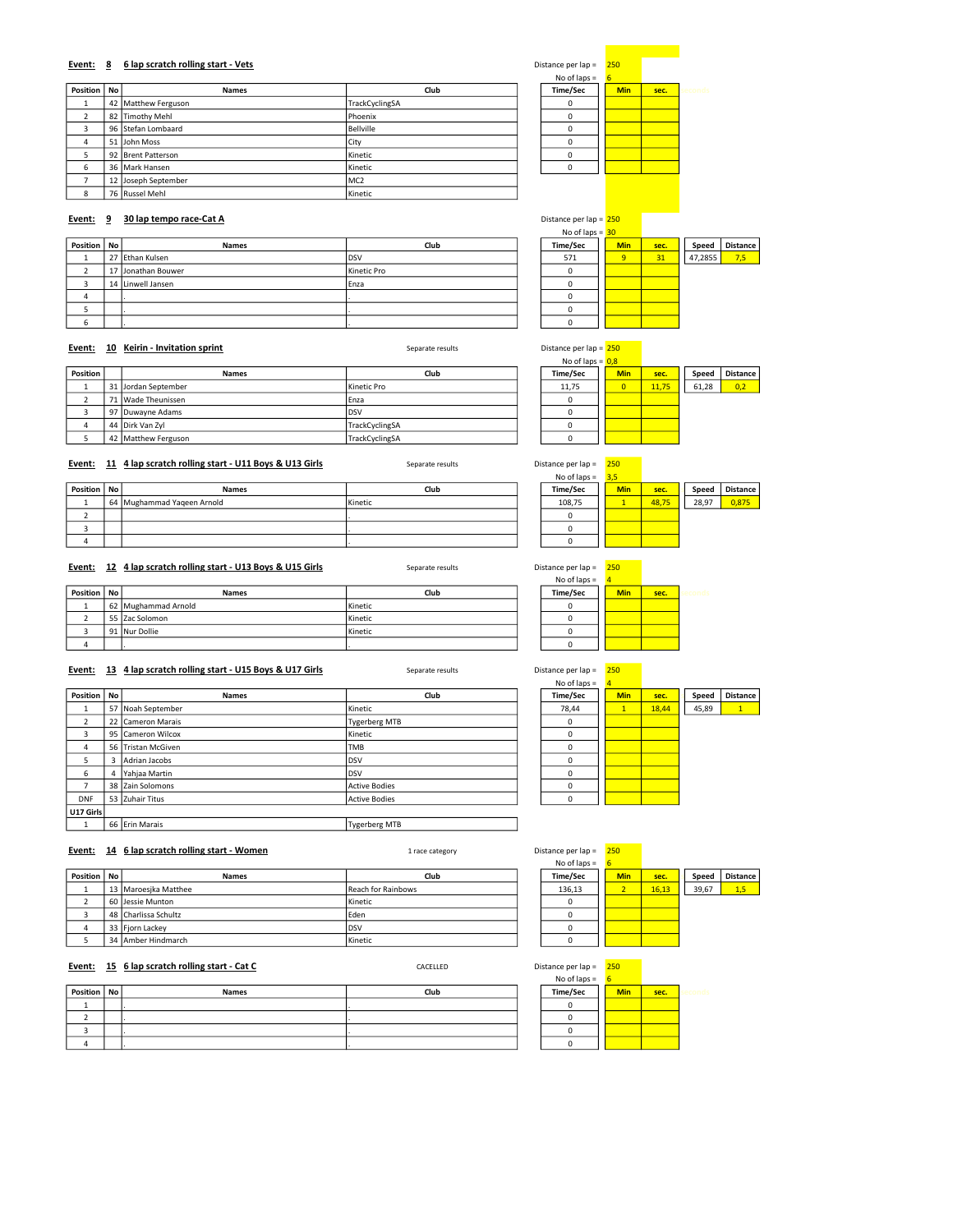### Event: 8 6 lap scratch rolling start - Vets

|               |                     |                 | .        |            |      |      |
|---------------|---------------------|-----------------|----------|------------|------|------|
| Position   No | <b>Names</b>        | Club            | Time/Sec | <b>Min</b> | sec. | cond |
|               | 42 Matthew Ferguson | TrackCyclingSA  |          |            |      |      |
|               | 82 Timothy Mehl     | Phoenix         |          |            |      |      |
|               | 96 Stefan Lombaard  | Bellville       |          |            |      |      |
| 4             | 51 John Moss        | City            |          |            |      |      |
|               | 92 Brent Patterson  | Kinetic         |          |            |      |      |
| b             | 36 Mark Hansen      | Kinetic         |          |            |      |      |
|               | 12 Joseph September | MC <sub>2</sub> |          |            |      |      |
|               | 76 Russel Mehl      | Kinetic         |          |            |      |      |

| Distance per lap = | 250 |            |      |  |
|--------------------|-----|------------|------|--|
| No of laps $=$     | 6   |            |      |  |
| Time/Sec           |     | <b>Min</b> | sec. |  |
| n                  |     |            |      |  |
| Ò                  |     |            |      |  |
| O                  |     |            |      |  |
| 0                  |     |            |      |  |
| Ω                  |     |            |      |  |
|                    |     |            |      |  |
|                    |     |            |      |  |

### Event: 9 30 lap tempo race-Cat A Distance per lap = 250 lap tempo race-Cat A Distance per lap = 250

|               |    |                    | No of laps = $30$ |          |  |            |      |         |                 |
|---------------|----|--------------------|-------------------|----------|--|------------|------|---------|-----------------|
| Position   No |    | <b>Names</b>       | Club              | Time/Sec |  | <b>Min</b> | sec. | Speed   | <b>Distance</b> |
|               |    | 27 Ethan Kulsen    | <b>DSV</b>        | 571      |  | 9          | 31   | 47,2855 | 7,5             |
|               | 17 | ' IJonathan Bouwer | Kinetic Pro       |          |  |            |      |         |                 |
|               |    | 14 Linwell Jansen  | Enza              |          |  |            |      |         |                 |
| 4             |    |                    |                   |          |  |            |      |         |                 |
|               |    |                    |                   |          |  |            |      |         |                 |
| b             |    |                    |                   |          |  |            |      |         |                 |

### Event: 10 Keirin - Invitation sprint Communication Separate results Separate results Distance per lap = 250

| Position | <b>Names</b>        | Club           | Time/Sec | <b>Min</b> | sec.  | Speed | <b>Distance</b> |
|----------|---------------------|----------------|----------|------------|-------|-------|-----------------|
|          | 31 Jordan September | Kinetic Pro    | 11.75    | $\Omega$   | 11.75 | 61.28 | 0.2             |
|          | 71 Wade Theunissen  | Enza           |          |            |       |       |                 |
|          | 97 Duwayne Adams    | <b>IDSV</b>    |          |            |       |       |                 |
|          | 44 Dirk Van Zvl     | TrackCyclingSA |          |            |       |       |                 |
|          | 42 Matthew Ferguson | TrackCyclingSA |          |            |       |       |                 |

### Event: 11 4 lap scratch rolling start - U11 Boys & U13 Girls Separate results Distance per lap = 250

|               |                            |         | NO OT Japs $=$ | 3.5        |       |       |                 |
|---------------|----------------------------|---------|----------------|------------|-------|-------|-----------------|
| Position   No | <b>Names</b>               | Club    | Time/Sec       | <b>Min</b> | sec.  | Speed | <b>Distance</b> |
|               | 64 Mughammad Yageen Arnold | Kinetic | 108,75         |            | 48.75 | 28.97 | 0,875           |
|               |                            |         |                |            |       |       |                 |
|               |                            |         |                |            |       |       |                 |
|               |                            |         |                |            |       |       |                 |

### Event: 12 4 lap scratch rolling start - U13 Boys & U15 Girls Separate results Separate results

|               |                     |         | . <i>. .</i> |            |      |  |
|---------------|---------------------|---------|--------------|------------|------|--|
| Position   No | <b>Names</b>        | Club    | Time/Sec     | <b>Min</b> | sec. |  |
|               | 62 Mughammad Arnold | Kinetic |              |            |      |  |
|               | 55 Zac Solomon      | Kinetic |              |            |      |  |
|               | 91 Nur Dollie       | Kinetic |              |            |      |  |
| $\mathbf{u}$  |                     |         |              |            |      |  |

### Event: 13 4 lap scratch rolling start - U15 Boys & U17 Girls Separate results Separate results Distance per lap = 250

|                          |   |                    |                      | No of laps $=$ |              |       |       |                 |
|--------------------------|---|--------------------|----------------------|----------------|--------------|-------|-------|-----------------|
| Position   No            |   | <b>Names</b>       | Club                 | Time/Sec       | <b>Min</b>   | sec.  | Speed | <b>Distance</b> |
| л.                       |   | 57 Noah September  | Kinetic              | 78,44          | $\mathbf{1}$ | 18,44 | 45,89 | 1               |
| ∠                        |   | 22 Cameron Marais  | <b>Tygerberg MTB</b> | $\Omega$       |              |       |       |                 |
| 3                        |   | 95 Cameron Wilcox  | Kinetic              | 0              |              |       |       |                 |
| 4                        |   | 56 Tristan McGiven | <b>TMB</b>           | 0              |              |       |       |                 |
| 5                        | 3 | Adrian Jacobs      | DSV                  | 0              |              |       |       |                 |
| 6                        | 4 | Yahjaa Martin      | <b>DSV</b>           | $\Omega$       |              |       |       |                 |
| $\overline{\phantom{a}}$ |   | 38 Zain Solomons   | <b>Active Bodies</b> | 0              |              |       |       |                 |
| <b>DNF</b>               |   | 53 Zuhair Titus    | <b>Active Bodies</b> | $\Omega$       |              |       |       |                 |
| U17 Girls                |   |                    |                      |                |              |       |       |                 |
|                          |   | 66 Erin Marais     | <b>Tygerberg MTB</b> |                |              |       |       |                 |

### Event: 14 6 lap scratch rolling start - Women 1 race category 1 race category

|               |                      | .                  |          |            |       |       |                 |
|---------------|----------------------|--------------------|----------|------------|-------|-------|-----------------|
| Position   No | <b>Names</b>         | Club               | Time/Sec | <b>Min</b> | sec.  | Speed | <b>Distance</b> |
|               | 13 Maroesika Matthee | Reach for Rainbows | 136.13   |            | 16,13 | 39.67 | 1,5             |
|               | 60 Jessie Munton     | Kinetic            |          |            |       |       |                 |
|               | 48 Charlissa Schultz | Eden               |          |            |       |       |                 |
|               | 33 Fiorn Lackey      | <b>IDSV</b>        |          |            |       |       |                 |
|               | 34 Amber Hindmarch   | Kinetic            |          |            |       |       |                 |

# Event: 15 6 lap scratch rolling start - Cat C<br>CACELLED



|  | <b>Service Service</b> |  |
|--|------------------------|--|

|                | Distance per lap = | 250        |      |       |
|----------------|--------------------|------------|------|-------|
| No of laps $=$ |                    |            |      |       |
|                | Time/Sec           | <b>Min</b> | sec. | Speed |

|                |  | Distance per lap = |  | 250        |       |       |
|----------------|--|--------------------|--|------------|-------|-------|
| No of laps $=$ |  |                    |  |            |       |       |
|                |  | Time/Sec           |  | <b>Min</b> | sec.  | Spee  |
|                |  | 136,13             |  |            | 16.13 | 39,67 |
|                |  |                    |  |            |       |       |

| Distance per lap = 200 |            |       |       |                 |
|------------------------|------------|-------|-------|-----------------|
| No of laps = $0,8$     |            |       |       |                 |
| Time/Sec               | <b>Min</b> | sec.  | Speed | <b>Distance</b> |
| 11,75                  |            | 11,75 | 61,28 | .2              |
|                        |            |       |       |                 |
|                        |            |       |       |                 |
|                        |            |       |       |                 |
|                        |            |       |       |                 |
|                        |            |       |       |                 |

# No of laps = 3,5

| No of laps $=$ | 3.5        |       |       |             |
|----------------|------------|-------|-------|-------------|
| Time/Sec       | <b>Min</b> | sec.  | Speed | <b>Dist</b> |
| 108,75         |            | 48,75 | 28,97 | υ,          |
|                |            |       |       |             |
| Ω              |            |       |       |             |
|                |            |       |       |             |

| stance per lap = | 250 |      |
|------------------|-----|------|
| No of laps $=$   |     |      |
| Time/Sec         | Min | sec. |
|                  |     |      |
|                  |     |      |
| ٢                |     |      |
|                  |     |      |

# $N_0$  of laps =  $\frac{4}{5}$

| <b>Min</b> | sec.  | Speed | Distar |
|------------|-------|-------|--------|
|            | 18,44 | 45,89 |        |
|            |       |       |        |
|            |       |       |        |
|            |       |       |        |
|            |       |       |        |
|            |       |       |        |
|            |       |       |        |

|            | nt: 15 6 lap scratch rolling start - Cat C | CACELLED | Distance per lap =<br>No of laps $=$ | 250<br>$6 \overline{6}$ |      |  |
|------------|--------------------------------------------|----------|--------------------------------------|-------------------------|------|--|
| ition   No | <b>Names</b>                               | Club     | Time/Sec                             | <b>Min</b>              | sec. |  |
|            |                                            |          |                                      |                         |      |  |
|            |                                            |          |                                      |                         |      |  |
|            |                                            |          |                                      |                         |      |  |
|            |                                            |          |                                      |                         |      |  |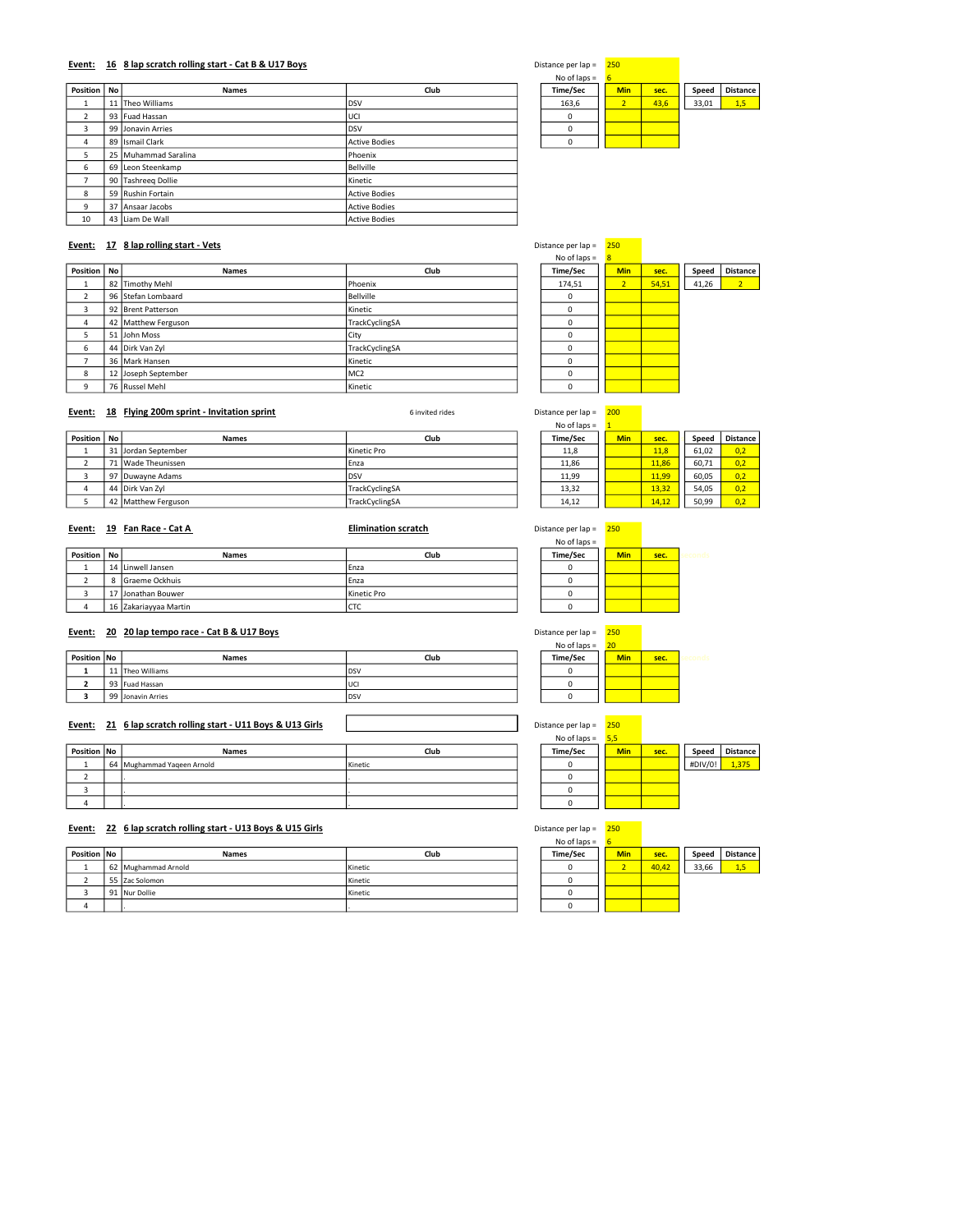### Event: 16 8 lap scratch rolling start - Cat B & U17 Boys Distance per lap = 250 and 250 bistance per lap = 250

|                |                      |                      | .           |                |      |       |                 |
|----------------|----------------------|----------------------|-------------|----------------|------|-------|-----------------|
| Position   No  | <b>Names</b>         | Club                 | Time/Sec    | <b>Min</b>     | sec. | Speed | <b>Distance</b> |
| л.             | 11 Theo Williams     | <b>DSV</b>           | 163,6       | $\overline{2}$ | 43,6 | 33,01 | 1,5             |
| $\overline{2}$ | 93 Fuad Hassan       | UCI                  | $\mathbf 0$ |                |      |       |                 |
| 3              | 99 Jonavin Arries    | <b>IDSV</b>          | $\Omega$    |                |      |       |                 |
| 4              | 89 Ismail Clark      | <b>Active Bodies</b> | 0           |                |      |       |                 |
| 5              | 25 Muhammad Saralina | Phoenix              |             |                |      |       |                 |
| 6              | 69 Leon Steenkamp    | Bellville            |             |                |      |       |                 |
| $\overline{ }$ | 90 Tashreeg Dollie   | Kinetic              |             |                |      |       |                 |
| 8              | 59 Rushin Fortain    | Active Bodies        |             |                |      |       |                 |
| $\mathsf{q}$   | 37 Ansaar Jacobs     | Active Bodies        |             |                |      |       |                 |
| 10             | 43 Liam De Wall      | <b>Active Bodies</b> |             |                |      |       |                 |
|                |                      |                      |             |                |      |       |                 |

| )istance per Iap = |
|--------------------|
|                    |

| ance per lap – | $-00$      |      |       |        |
|----------------|------------|------|-------|--------|
| No of laps $=$ | б          |      |       |        |
| Time/Sec       | <b>Min</b> | sec. | Speed | Distan |
| 163,6          |            | 43,6 | 33,01 | 1,5    |
|                |            |      |       |        |
| ŋ              |            |      |       |        |
|                |            |      |       |        |

### Event: 17 8 lap rolling start - Vets Distance per lap = 250

| <b>Names</b> | Club                                                                                                                                                                                              |         | Time/Sec | <b>Min</b> | sec.  | Speed | <b>Distane</b> |
|--------------|---------------------------------------------------------------------------------------------------------------------------------------------------------------------------------------------------|---------|----------|------------|-------|-------|----------------|
|              | Phoenix                                                                                                                                                                                           |         | 174,51   |            | 54,51 | 41,26 | 2 <sup>2</sup> |
|              | Bellville                                                                                                                                                                                         |         | $\Omega$ |            |       |       |                |
|              | Kinetic                                                                                                                                                                                           |         | $\Omega$ |            |       |       |                |
|              | TrackCyclingSA                                                                                                                                                                                    |         | $\Omega$ |            |       |       |                |
|              | City                                                                                                                                                                                              |         |          |            |       |       |                |
|              | TrackCyclingSA                                                                                                                                                                                    |         | $\Omega$ |            |       |       |                |
|              | Kinetic                                                                                                                                                                                           |         | $\Omega$ |            |       |       |                |
|              | MC <sub>2</sub>                                                                                                                                                                                   |         | $\Omega$ |            |       |       |                |
|              |                                                                                                                                                                                                   |         | $\Omega$ |            |       |       |                |
|              | Position   No<br>82 Timothy Mehl<br>96 Stefan Lombaard<br>92 Brent Patterson<br>42 Matthew Ferguson<br>51 John Moss<br>44 Dirk Van Zyl<br>36 Mark Hansen<br>12 Joseph September<br>76 Russel Mehl | Kinetic |          |            |       |       |                |

# Time/Sec Min sec. Speed Distance<br>174,51 2 54,51 41,26 2

# Event: 18 Flying 200m sprint - Invitation sprint Christian Communication Sinvited rides Communication Sinvited rides Distance per lap = 200

|          |    |                     |                | $NUU$ idus – |     |       |       |                 |
|----------|----|---------------------|----------------|--------------|-----|-------|-------|-----------------|
| Position | No | <b>Names</b>        | Club           | Time/Sec     | Min | sec.  | Speed | <b>Distance</b> |
|          |    | 31 Jordan September | Kinetic Pro    | 11,8         |     | 11.8  | 61.02 | 0.2             |
|          |    | 71 Wade Theunissen  | Enza           | 11.86        |     | 11.86 | 60.71 | 0.2             |
|          |    | 97 Duwavne Adams    | <b>DSV</b>     | 11,99        |     | 11,99 | 60.05 | 0.2             |
|          |    | 44 Dirk Van Zvl     | TrackCyclingSA | 13,32        |     | 13.32 | 54.05 | 0.2             |
|          |    | 42 Matthew Ferguson | TrackCyclingSA | 14,12        |     | 14,12 | 50.99 | 0.2             |

 $No$  of laps =

| No of laps $=$ | 1          |       |       |                 |
|----------------|------------|-------|-------|-----------------|
| Time/Sec       | <b>Min</b> | sec.  | Speed | <b>Distance</b> |
| 11,8           |            | 11,8  | 61,02 | 0,2             |
| 11,86          |            | 11,86 | 60,71 | 0.2             |
| 11.99          |            | 11.99 | 60,05 | 0.2             |
| 13.32          |            | 13.32 | 54,05 | 0.2             |
| 14.12          |            | 14.12 | 50.99 |                 |

| Event:        | 19 Fan Race - Cat A   | <b>Elimination scratch</b> | Distance per lap =<br>No of laps $=$ | 250        |      |  |
|---------------|-----------------------|----------------------------|--------------------------------------|------------|------|--|
| Position   No | <b>Names</b>          | Club                       | Time/Sec                             | <b>Min</b> | sec. |  |
|               |                       |                            |                                      |            |      |  |
|               | 14 Linwell Jansen     | Enza                       |                                      |            |      |  |
|               | Graeme Ockhuis        | Enza                       |                                      |            |      |  |
|               | ' Jonathan Bouwer     | Kinetic Pro                |                                      |            |      |  |
| 4             | 16 Zakariayyaa Martin | <b>CTC</b>                 |                                      |            |      |  |

### Event: 20 20 lap tempo race - Cat B & U17 Boys

|             |                   |      | .        |            |      |  |
|-------------|-------------------|------|----------|------------|------|--|
| Position No | <b>Names</b>      | Club | Time/Sec | <b>Min</b> | sec. |  |
|             | 11 Theo Williams  | DSV  |          |            |      |  |
|             | 93 Fuad Hassan    | luci |          |            |      |  |
|             | 99 Jonavin Arries | DSV  |          |            |      |  |

### Event: 21 6 lap scratch rolling start - U11 Boys & U13 Girls Distance per lap = 250 Distance per lap = 250

| Position No | <b>Names</b>               | Club    | Time/Sec | <b>Min</b> | sec. | Speed   | Distance |
|-------------|----------------------------|---------|----------|------------|------|---------|----------|
|             | 64 Mughammad Yageen Arnold | Kinetic |          |            |      | #DIV/0! | .375     |
|             |                            |         |          |            |      |         |          |
|             |                            |         |          |            |      |         |          |
|             |                            |         |          |            |      |         |          |

# Event: 22 6 lap scratch rolling start - U13 Boys & U15 Girls Distance per lap = 250

|             |                     |         | --------- |            |       |       |                 |
|-------------|---------------------|---------|-----------|------------|-------|-------|-----------------|
| Position No | <b>Names</b>        | Club    | Time/Sec  | <b>Min</b> | sec.  | Speed | <b>Distance</b> |
|             | 62 Mughammad Arnold | Kinetic |           |            | 40.42 | 33.66 |                 |
|             | 55 Zac Solomon      | Kinetic |           |            |       |       |                 |
|             | 91 Nur Dollie       | Kinetic |           |            |       |       |                 |
|             |                     |         |           |            |       |       |                 |

| n                      |  |
|------------------------|--|
| በ                      |  |
|                        |  |
|                        |  |
| 250<br>tance per lap = |  |

| No of laps $=$ | 20         |      |
|----------------|------------|------|
| Time/Sec       | <b>Min</b> | sec. |
|                |            |      |
|                |            |      |
|                |            |      |

| No of laps $=$ | 5.5        |      |         |                 |
|----------------|------------|------|---------|-----------------|
| Time/Sec       | <b>Min</b> | sec. | Speed   | <b>Distance</b> |
|                |            |      | #DIV/0! | 1.375           |
|                |            |      |         |                 |
|                |            |      |         |                 |
|                |            |      |         |                 |

# $No$  of laps  $=$

| $140$ UI 18 $15 -$ |            |       |       |          |
|--------------------|------------|-------|-------|----------|
| Time/Sec           | <b>Min</b> | sec.  | Speed | Distance |
|                    |            | 40,42 | 33,66 | 1.5      |
|                    |            |       |       |          |
|                    |            |       |       |          |
|                    |            |       |       |          |